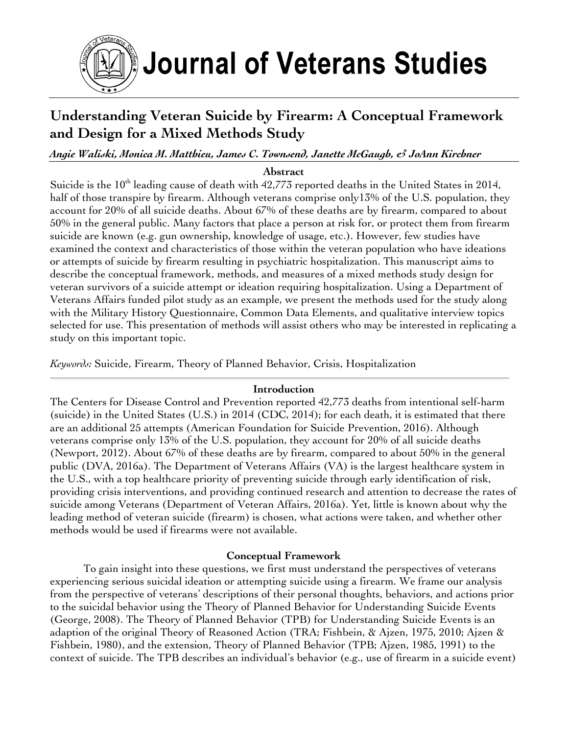

# Journal of Veterans Studies

# **Understanding Veteran Suicide by Firearm: A Conceptual Framework and Design for a Mixed Methods Study**

# *Angie Waliski, Monica M. Matthieu, James C. Townsend, Janette McGaugh, & JoAnn Kirchner*

#### **Abstract**

Suicide is the 10<sup>th</sup> leading cause of death with 42,773 reported deaths in the United States in 2014, half of those transpire by firearm. Although veterans comprise only 13% of the U.S. population, they account for 20% of all suicide deaths. About 67% of these deaths are by firearm, compared to about 50% in the general public. Many factors that place a person at risk for, or protect them from firearm suicide are known (e.g. gun ownership, knowledge of usage, etc.). However, few studies have examined the context and characteristics of those within the veteran population who have ideations or attempts of suicide by firearm resulting in psychiatric hospitalization. This manuscript aims to describe the conceptual framework, methods, and measures of a mixed methods study design for veteran survivors of a suicide attempt or ideation requiring hospitalization. Using a Department of Veterans Affairs funded pilot study as an example, we present the methods used for the study along with the Military History Questionnaire, Common Data Elements, and qualitative interview topics selected for use. This presentation of methods will assist others who may be interested in replicating a study on this important topic.

*Keywords:* Suicide, Firearm, Theory of Planned Behavior, Crisis, Hospitalization

#### **Introduction**

The Centers for Disease Control and Prevention reported 42,773 deaths from intentional self-harm (suicide) in the United States (U.S.) in 2014 (CDC, 2014); for each death, it is estimated that there are an additional 25 attempts (American Foundation for Suicide Prevention, 2016). Although veterans comprise only 13% of the U.S. population, they account for 20% of all suicide deaths (Newport, 2012). About 67% of these deaths are by firearm, compared to about 50% in the general public (DVA, 2016a). The Department of Veterans Affairs (VA) is the largest healthcare system in the U.S., with a top healthcare priority of preventing suicide through early identification of risk, providing crisis interventions, and providing continued research and attention to decrease the rates of suicide among Veterans (Department of Veteran Affairs, 2016a). Yet, little is known about why the leading method of veteran suicide (firearm) is chosen, what actions were taken, and whether other methods would be used if firearms were not available.

#### **Conceptual Framework**

To gain insight into these questions, we first must understand the perspectives of veterans experiencing serious suicidal ideation or attempting suicide using a firearm. We frame our analysis from the perspective of veterans' descriptions of their personal thoughts, behaviors, and actions prior to the suicidal behavior using the Theory of Planned Behavior for Understanding Suicide Events (George, 2008). The Theory of Planned Behavior (TPB) for Understanding Suicide Events is an adaption of the original Theory of Reasoned Action (TRA; Fishbein, & Ajzen, 1975, 2010; Ajzen & Fishbein, 1980), and the extension, Theory of Planned Behavior (TPB; Ajzen, 1985, 1991) to the context of suicide. The TPB describes an individual's behavior (e.g., use of firearm in a suicide event)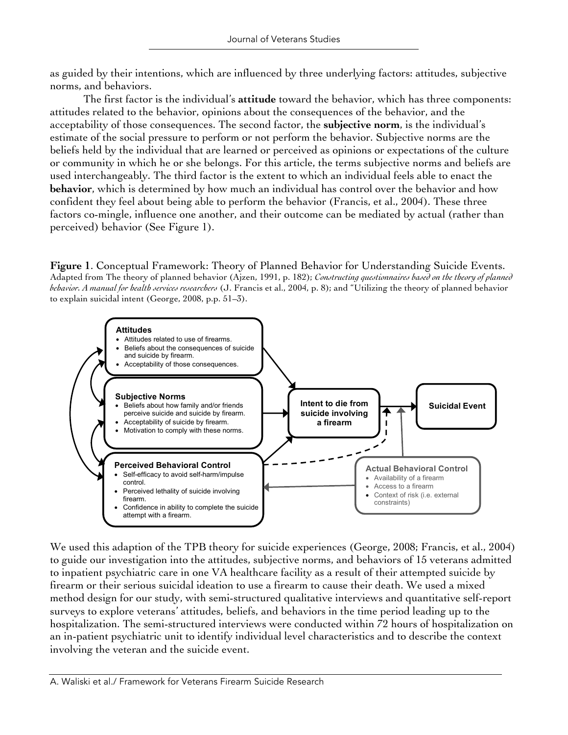as guided by their intentions, which are influenced by three underlying factors: attitudes, subjective norms, and behaviors.

The first factor is the individual's **attitude** toward the behavior, which has three components: attitudes related to the behavior, opinions about the consequences of the behavior, and the acceptability of those consequences. The second factor, the **subjective norm**, is the individual's estimate of the social pressure to perform or not perform the behavior. Subjective norms are the beliefs held by the individual that are learned or perceived as opinions or expectations of the culture or community in which he or she belongs. For this article, the terms subjective norms and beliefs are used interchangeably. The third factor is the extent to which an individual feels able to enact the **behavior**, which is determined by how much an individual has control over the behavior and how confident they feel about being able to perform the behavior (Francis, et al., 2004). These three factors co-mingle, influence one another, and their outcome can be mediated by actual (rather than perceived) behavior (See Figure 1).

**Figure 1**. Conceptual Framework: Theory of Planned Behavior for Understanding Suicide Events. Adapted from The theory of planned behavior (Ajzen, 1991, p. 182); *Constructing questionnaires based on the theory of planned behavior. A manual for health services researchers* (J. Francis et al., 2004, p. 8); and "Utilizing the theory of planned behavior to explain suicidal intent (George, 2008, p.p. 51–3).



We used this adaption of the TPB theory for suicide experiences (George, 2008; Francis, et al., 2004) to guide our investigation into the attitudes, subjective norms, and behaviors of 15 veterans admitted to inpatient psychiatric care in one VA healthcare facility as a result of their attempted suicide by firearm or their serious suicidal ideation to use a firearm to cause their death. We used a mixed method design for our study, with semi-structured qualitative interviews and quantitative self-report surveys to explore veterans' attitudes, beliefs, and behaviors in the time period leading up to the hospitalization. The semi-structured interviews were conducted within 72 hours of hospitalization on an in-patient psychiatric unit to identify individual level characteristics and to describe the context involving the veteran and the suicide event.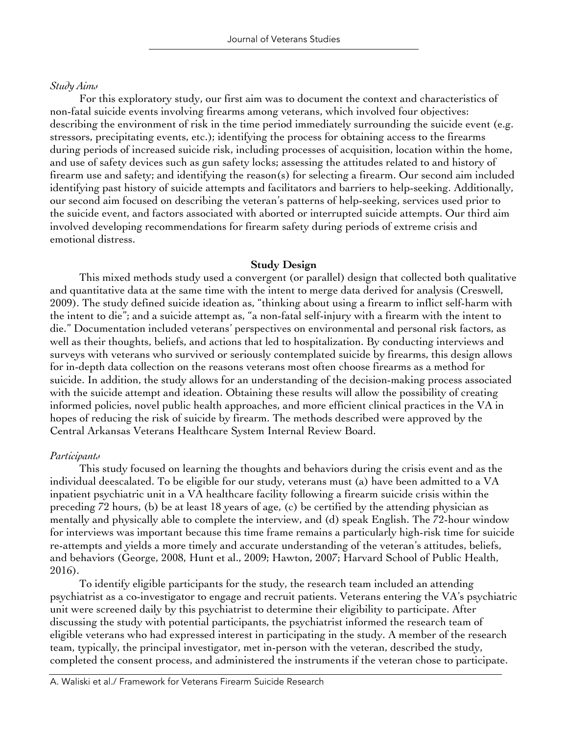#### *Study Aims*

For this exploratory study, our first aim was to document the context and characteristics of non-fatal suicide events involving firearms among veterans, which involved four objectives: describing the environment of risk in the time period immediately surrounding the suicide event (e.g. stressors, precipitating events, etc.); identifying the process for obtaining access to the firearms during periods of increased suicide risk, including processes of acquisition, location within the home, and use of safety devices such as gun safety locks; assessing the attitudes related to and history of firearm use and safety; and identifying the reason(s) for selecting a firearm. Our second aim included identifying past history of suicide attempts and facilitators and barriers to help-seeking. Additionally, our second aim focused on describing the veteran's patterns of help-seeking, services used prior to the suicide event, and factors associated with aborted or interrupted suicide attempts. Our third aim involved developing recommendations for firearm safety during periods of extreme crisis and emotional distress.

#### **Study Design**

This mixed methods study used a convergent (or parallel) design that collected both qualitative and quantitative data at the same time with the intent to merge data derived for analysis (Creswell, 2009). The study defined suicide ideation as, "thinking about using a firearm to inflict self-harm with the intent to die"; and a suicide attempt as, "a non-fatal self-injury with a firearm with the intent to die." Documentation included veterans' perspectives on environmental and personal risk factors, as well as their thoughts, beliefs, and actions that led to hospitalization. By conducting interviews and surveys with veterans who survived or seriously contemplated suicide by firearms, this design allows for in-depth data collection on the reasons veterans most often choose firearms as a method for suicide. In addition, the study allows for an understanding of the decision-making process associated with the suicide attempt and ideation. Obtaining these results will allow the possibility of creating informed policies, novel public health approaches, and more efficient clinical practices in the VA in hopes of reducing the risk of suicide by firearm. The methods described were approved by the Central Arkansas Veterans Healthcare System Internal Review Board.

#### *Participants*

This study focused on learning the thoughts and behaviors during the crisis event and as the individual deescalated. To be eligible for our study, veterans must (a) have been admitted to a VA inpatient psychiatric unit in a VA healthcare facility following a firearm suicide crisis within the preceding 72 hours, (b) be at least 18 years of age, (c) be certified by the attending physician as mentally and physically able to complete the interview, and (d) speak English. The 72-hour window for interviews was important because this time frame remains a particularly high-risk time for suicide re-attempts and yields a more timely and accurate understanding of the veteran's attitudes, beliefs, and behaviors (George, 2008, Hunt et al., 2009; Hawton, 2007; Harvard School of Public Health, 2016).

To identify eligible participants for the study, the research team included an attending psychiatrist as a co-investigator to engage and recruit patients. Veterans entering the VA's psychiatric unit were screened daily by this psychiatrist to determine their eligibility to participate. After discussing the study with potential participants, the psychiatrist informed the research team of eligible veterans who had expressed interest in participating in the study. A member of the research team, typically, the principal investigator, met in-person with the veteran, described the study, completed the consent process, and administered the instruments if the veteran chose to participate.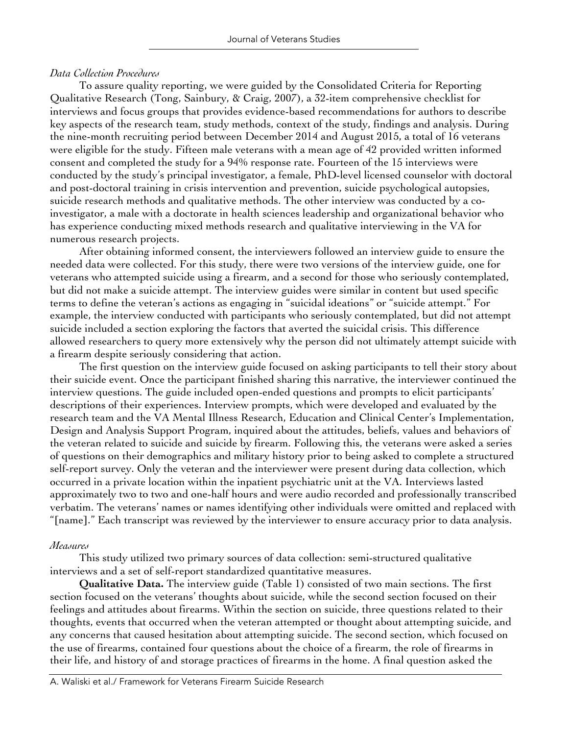#### *Data Collection Procedures*

To assure quality reporting, we were guided by the Consolidated Criteria for Reporting Qualitative Research (Tong, Sainbury, & Craig, 2007), a 32-item comprehensive checklist for interviews and focus groups that provides evidence-based recommendations for authors to describe key aspects of the research team, study methods, context of the study, findings and analysis. During the nine-month recruiting period between December 2014 and August 2015, a total of 16 veterans were eligible for the study. Fifteen male veterans with a mean age of 42 provided written informed consent and completed the study for a 94% response rate. Fourteen of the 15 interviews were conducted by the study's principal investigator, a female, PhD-level licensed counselor with doctoral and post-doctoral training in crisis intervention and prevention, suicide psychological autopsies, suicide research methods and qualitative methods. The other interview was conducted by a coinvestigator, a male with a doctorate in health sciences leadership and organizational behavior who has experience conducting mixed methods research and qualitative interviewing in the VA for numerous research projects.

After obtaining informed consent, the interviewers followed an interview guide to ensure the needed data were collected. For this study, there were two versions of the interview guide, one for veterans who attempted suicide using a firearm, and a second for those who seriously contemplated, but did not make a suicide attempt. The interview guides were similar in content but used specific terms to define the veteran's actions as engaging in "suicidal ideations" or "suicide attempt." For example, the interview conducted with participants who seriously contemplated, but did not attempt suicide included a section exploring the factors that averted the suicidal crisis. This difference allowed researchers to query more extensively why the person did not ultimately attempt suicide with a firearm despite seriously considering that action.

The first question on the interview guide focused on asking participants to tell their story about their suicide event. Once the participant finished sharing this narrative, the interviewer continued the interview questions. The guide included open-ended questions and prompts to elicit participants' descriptions of their experiences. Interview prompts, which were developed and evaluated by the research team and the VA Mental Illness Research, Education and Clinical Center's Implementation, Design and Analysis Support Program, inquired about the attitudes, beliefs, values and behaviors of the veteran related to suicide and suicide by firearm. Following this, the veterans were asked a series of questions on their demographics and military history prior to being asked to complete a structured self-report survey. Only the veteran and the interviewer were present during data collection, which occurred in a private location within the inpatient psychiatric unit at the VA. Interviews lasted approximately two to two and one-half hours and were audio recorded and professionally transcribed verbatim. The veterans' names or names identifying other individuals were omitted and replaced with "[name]." Each transcript was reviewed by the interviewer to ensure accuracy prior to data analysis.

#### *Measures*

This study utilized two primary sources of data collection: semi-structured qualitative interviews and a set of self-report standardized quantitative measures.

**Qualitative Data.** The interview guide (Table 1) consisted of two main sections. The first section focused on the veterans' thoughts about suicide, while the second section focused on their feelings and attitudes about firearms. Within the section on suicide, three questions related to their thoughts, events that occurred when the veteran attempted or thought about attempting suicide, and any concerns that caused hesitation about attempting suicide. The second section, which focused on the use of firearms, contained four questions about the choice of a firearm, the role of firearms in their life, and history of and storage practices of firearms in the home. A final question asked the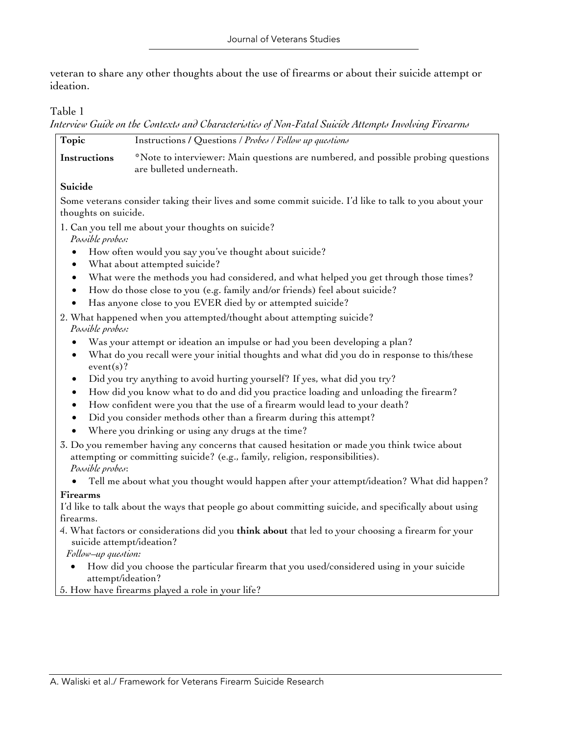veteran to share any other thoughts about the use of firearms or about their suicide attempt or ideation.

#### Table 1

*Interview Guide on the Contexts and Characteristics of Non-Fatal Suicide Attempts Involving Firearms* 

| Topic        | Instructions / Questions / Probes / Follow up questions                                                       |
|--------------|---------------------------------------------------------------------------------------------------------------|
| Instructions | *Note to interviewer: Main questions are numbered, and possible probing questions<br>are bulleted underneath. |
| Suicide      |                                                                                                               |

Some veterans consider taking their lives and some commit suicide. I'd like to talk to you about your thoughts on suicide.

1. Can you tell me about your thoughts on suicide?

*Possible probes:* 

- How often would you say you've thought about suicide?
- What about attempted suicide?
- What were the methods you had considered, and what helped you get through those times?
- How do those close to you (e.g. family and/or friends) feel about suicide?
- Has anyone close to you EVER died by or attempted suicide?
- 2. What happened when you attempted/thought about attempting suicide? *Possible probes:*
	- Was your attempt or ideation an impulse or had you been developing a plan?
	- What do you recall were your initial thoughts and what did you do in response to this/these event(s)?
	- Did you try anything to avoid hurting yourself? If yes, what did you try?
	- How did you know what to do and did you practice loading and unloading the firearm?
	- How confident were you that the use of a firearm would lead to your death?
	- Did you consider methods other than a firearm during this attempt?
	- Where you drinking or using any drugs at the time?
- 3. Do you remember having any concerns that caused hesitation or made you think twice about attempting or committing suicide? (e.g., family, religion, responsibilities). *Possible probes*:
	- Tell me about what you thought would happen after your attempt/ideation? What did happen?

#### **Firearms**

I'd like to talk about the ways that people go about committing suicide, and specifically about using firearms.

4. What factors or considerations did you **think about** that led to your choosing a firearm for your suicide attempt/ideation?

*Follow–up question:* 

- How did you choose the particular firearm that you used/considered using in your suicide attempt/ideation?
- 5. How have firearms played a role in your life?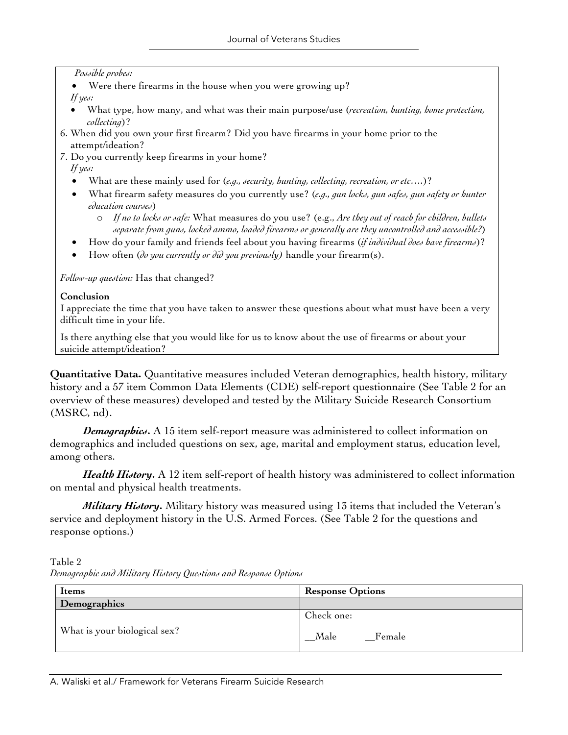#### *Possible probes:*

- Were there firearms in the house when you were growing up? *If yes:*
- What type, how many, and what was their main purpose/use (*recreation, hunting, home protection, collecting*)?
- 6. When did you own your first firearm? Did you have firearms in your home prior to the attempt/ideation?
- 7. Do you currently keep firearms in your home?

#### *If yes:*

- What are these mainly used for (*e.g., security, hunting, collecting, recreation, or etc….*)?
- What firearm safety measures do you currently use? (*e.g., gun locks, gun safes, gun safety or hunter education courses*)
	- o *If no to locks or safe:* What measures do you use? (e.g., *Are they out of reach for children, bullets separate from guns, locked ammo, loaded firearms or generally are they uncontrolled and accessible?*)
- How do your family and friends feel about you having firearms (*if individual does have firearms*)?
- How often (*do you currently or did you previously)* handle your firearm(s).

*Follow-up question:* Has that changed?

#### **Conclusion**

I appreciate the time that you have taken to answer these questions about what must have been a very difficult time in your life.

Is there anything else that you would like for us to know about the use of firearms or about your suicide attempt/ideation?

**Quantitative Data.** Quantitative measures included Veteran demographics, health history, military history and a 57 item Common Data Elements (CDE) self-report questionnaire (See Table 2 for an overview of these measures) developed and tested by the Military Suicide Research Consortium (MSRC, nd).

*Demographics***.** A 15 item self-report measure was administered to collect information on demographics and included questions on sex, age, marital and employment status, education level, among others.

*Health History***.** A 12 item self-report of health history was administered to collect information on mental and physical health treatments.

*Military History***.** Military history was measured using 13 items that included the Veteran's service and deployment history in the U.S. Armed Forces. (See Table 2 for the questions and response options.)

Table 2 *Demographic and Military History Questions and Response Options*

| <b>Items</b>                 | <b>Response Options</b>      |  |
|------------------------------|------------------------------|--|
| Demographics                 |                              |  |
| What is your biological sex? | Check one:<br>Female<br>Male |  |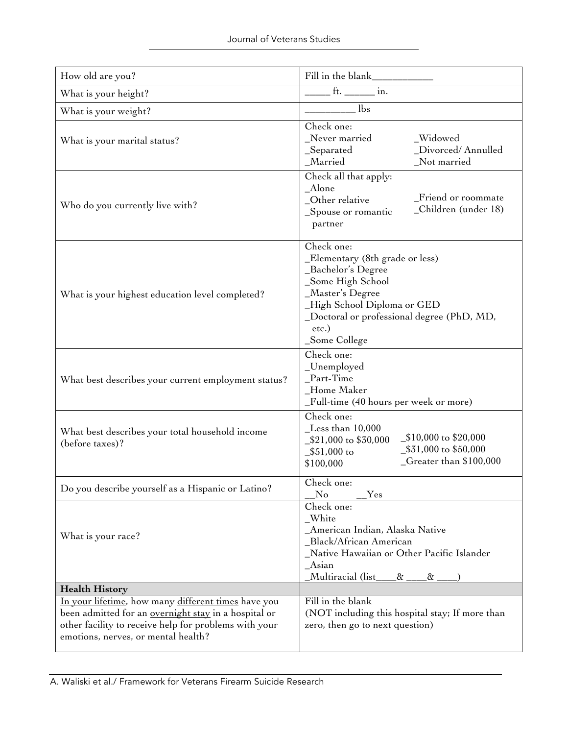| How old are you?                                                                                                                                                                                                   | Fill in the blank                                                                                                                                                                                                   |
|--------------------------------------------------------------------------------------------------------------------------------------------------------------------------------------------------------------------|---------------------------------------------------------------------------------------------------------------------------------------------------------------------------------------------------------------------|
| What is your height?                                                                                                                                                                                               | ft. ________ in.                                                                                                                                                                                                    |
| What is your weight?                                                                                                                                                                                               | lbs                                                                                                                                                                                                                 |
| What is your marital status?                                                                                                                                                                                       | Check one:<br>Never married<br>_Widowed<br>_Divorced/Annulled<br>_Separated<br>_Married<br>Not married                                                                                                              |
| Who do you currently live with?                                                                                                                                                                                    | Check all that apply:<br>Alone<br>Friend or roommate<br>_Other relative<br>_Children (under 18)<br>_Spouse or romantic<br>partner                                                                                   |
| What is your highest education level completed?                                                                                                                                                                    | Check one:<br>_Elementary (8th grade or less)<br>_Bachelor's Degree<br>_Some High School<br>_Master's Degree<br>_High School Diploma or GED<br>_Doctoral or professional degree (PhD, MD,<br>etc.)<br>_Some College |
| What best describes your current employment status?                                                                                                                                                                | Check one:<br>_Unemployed<br>Part-Time<br>Home Maker<br>_Full-time (40 hours per week or more)                                                                                                                      |
| What best describes your total household income<br>(before taxes)?                                                                                                                                                 | Check one:<br>$\text{\_}$ Less than 10,000<br>_\$10,000 to \$20,000<br>_\$21,000 to \$30,000<br>_\$31,000 to \$50,000<br>$$51,000$ to<br>_Greater than \$100,000<br>\$100,000                                       |
| Do you describe yourself as a Hispanic or Latino?                                                                                                                                                                  | Check one:<br>No<br>Yes                                                                                                                                                                                             |
| What is your race?                                                                                                                                                                                                 | Check one:<br>_White<br>_American Indian, Alaska Native<br>Black/African American<br>Native Hawaiian or Other Pacific Islander<br>$A$ sian<br>Multiracia <u>l (list_</u><br>$\alpha$<br>$\alpha$                    |
| <b>Health History</b>                                                                                                                                                                                              |                                                                                                                                                                                                                     |
| In your lifetime, how many different times have you<br>been admitted for an <u>overnight stay</u> in a hospital or<br>other facility to receive help for problems with your<br>emotions, nerves, or mental health? | Fill in the blank<br>(NOT including this hospital stay; If more than<br>zero, then go to next question)                                                                                                             |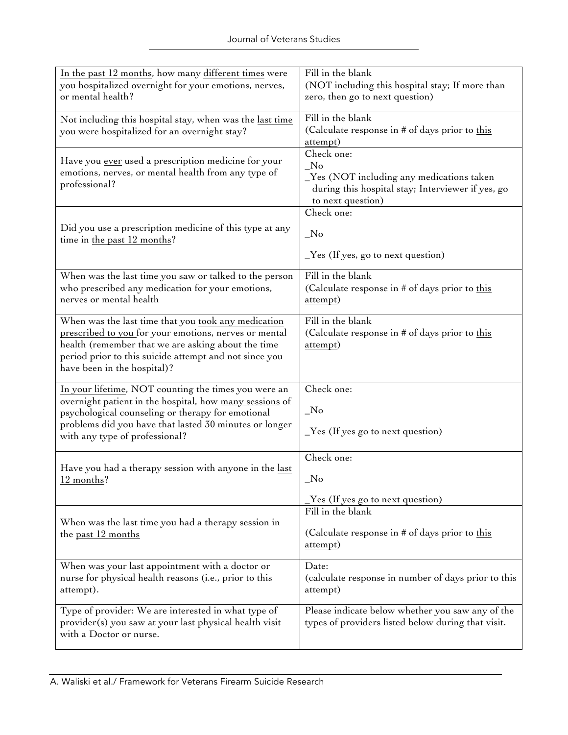| In the past 12 months, how many different times were<br>you hospitalized overnight for your emotions, nerves,<br>or mental health?                                                                                                                               | Fill in the blank<br>(NOT including this hospital stay; If more than<br>zero, then go to next question)                                        |
|------------------------------------------------------------------------------------------------------------------------------------------------------------------------------------------------------------------------------------------------------------------|------------------------------------------------------------------------------------------------------------------------------------------------|
| Not including this hospital stay, when was the last time<br>you were hospitalized for an overnight stay?                                                                                                                                                         | Fill in the blank<br>(Calculate response in # of days prior to this<br>attempt)                                                                |
| Have you ever used a prescription medicine for your<br>emotions, nerves, or mental health from any type of<br>professional?                                                                                                                                      | Check one:<br>$\sqrt{N}$<br>Yes (NOT including any medications taken<br>during this hospital stay; Interviewer if yes, go<br>to next question) |
| Did you use a prescription medicine of this type at any<br>time in the past 12 months?                                                                                                                                                                           | Check one:<br>N <sub>o</sub><br>$Yes$ (If yes, go to next question)                                                                            |
| When was the <u>last time</u> you saw or talked to the person<br>who prescribed any medication for your emotions,<br>nerves or mental health                                                                                                                     | Fill in the blank<br>(Calculate response in # of days prior to this<br>attempt)                                                                |
| When was the last time that you took any medication<br>prescribed to you for your emotions, nerves or mental<br>health (remember that we are asking about the time<br>period prior to this suicide attempt and not since you<br>have been in the hospital)?      | Fill in the blank<br>(Calculate response in # of days prior to this<br>attempt)                                                                |
| In your lifetime, NOT counting the times you were an<br>overnight patient in the hospital, how many sessions of<br>psychological counseling or therapy for emotional<br>problems did you have that lasted 30 minutes or longer<br>with any type of professional? | Check one:<br>$_{\rm No}$<br>$Yes$ (If yes go to next question)                                                                                |
| Have you had a therapy session with anyone in the last<br>12 months?                                                                                                                                                                                             | Check one:<br>No<br>_Yes (If yes go to next question)                                                                                          |
| When was the <u>last time</u> you had a therapy session in<br>the past 12 months                                                                                                                                                                                 | Fill in the blank<br>(Calculate response in # of days prior to this<br>attempt)                                                                |
| When was your last appointment with a doctor or<br>nurse for physical health reasons (i.e., prior to this<br>attempt).                                                                                                                                           | Date:<br>(calculate response in number of days prior to this<br>attempt)                                                                       |
| Type of provider: We are interested in what type of<br>provider(s) you saw at your last physical health visit<br>with a Doctor or nurse.                                                                                                                         | Please indicate below whether you saw any of the<br>types of providers listed below during that visit.                                         |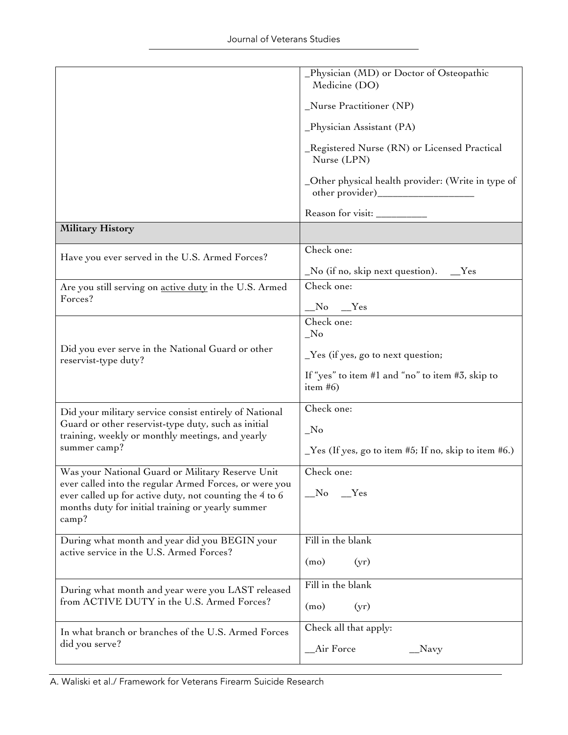|                                                                                                                   | _Physician (MD) or Doctor of Osteopathic<br>Medicine (DO)                                                                   |
|-------------------------------------------------------------------------------------------------------------------|-----------------------------------------------------------------------------------------------------------------------------|
|                                                                                                                   | _Nurse Practitioner (NP)                                                                                                    |
|                                                                                                                   | _Physician Assistant (PA)                                                                                                   |
|                                                                                                                   | _Registered Nurse (RN) or Licensed Practical<br>Nurse (LPN)                                                                 |
|                                                                                                                   | _Other physical health provider: (Write in type of                                                                          |
|                                                                                                                   | Reason for visit:                                                                                                           |
| <b>Military History</b>                                                                                           |                                                                                                                             |
| Have you ever served in the U.S. Armed Forces?                                                                    | Check one:                                                                                                                  |
|                                                                                                                   | $\textcolor{red}{\mathsf{N}}$ o (if no, skip next question). $\textcolor{red}{\mathsf{N}}$ $\textcolor{red}{\mathsf{N}}$ es |
| Are you still serving on active duty in the U.S. Armed                                                            | Check one:                                                                                                                  |
| Forces?                                                                                                           | $No$ $Yes$                                                                                                                  |
|                                                                                                                   | Check one:<br>$\sqrt{N}$                                                                                                    |
| Did you ever serve in the National Guard or other<br>reservist-type duty?                                         | $Yes$ (if yes, go to next question;                                                                                         |
|                                                                                                                   | If "yes" to item #1 and "no" to item #3, skip to<br>item $#6)$                                                              |
| Did your military service consist entirely of National                                                            | Check one:                                                                                                                  |
| Guard or other reservist-type duty, such as initial<br>training, weekly or monthly meetings, and yearly           | $\sqrt{N}$                                                                                                                  |
| summer camp?                                                                                                      | $\text{Yes (If yes, go to item #5; If no, skip to item #6.)}$                                                               |
| Was your National Guard or Military Reserve Unit                                                                  | Check one:                                                                                                                  |
| ever called into the regular Armed Forces, or were you<br>ever called up for active duty, not counting the 4 to 6 | $\_\mathrm{No}$<br>$Y$ es                                                                                                   |
| months duty for initial training or yearly summer<br>$\text{camp?}$                                               |                                                                                                                             |
| During what month and year did you BEGIN your                                                                     | Fill in the blank                                                                                                           |
| active service in the U.S. Armed Forces?                                                                          | (mo)<br>(yr)                                                                                                                |
| During what month and year were you LAST released                                                                 | Fill in the blank                                                                                                           |
| from ACTIVE DUTY in the U.S. Armed Forces?                                                                        | (mo)<br>(yr)                                                                                                                |
| In what branch or branches of the U.S. Armed Forces                                                               | Check all that apply:                                                                                                       |
| did you serve?                                                                                                    | Air Force<br>Navy_                                                                                                          |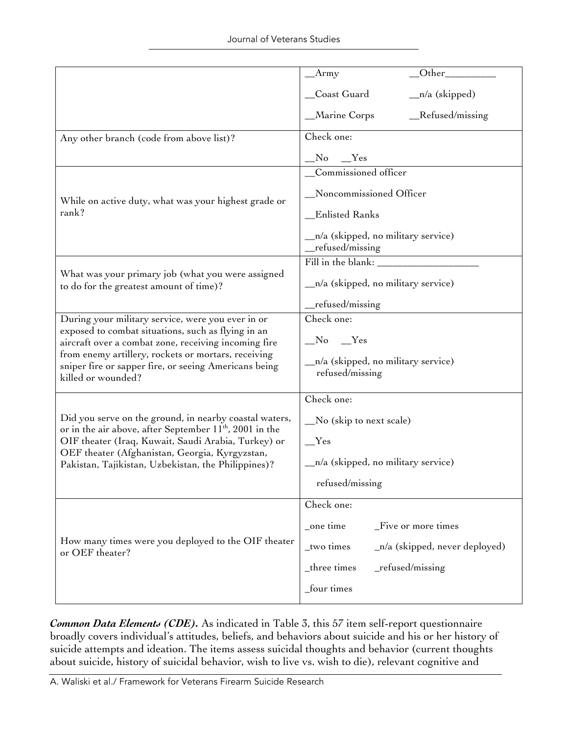|                                                                                                                                    | $\_$ Army                                              |  |  |
|------------------------------------------------------------------------------------------------------------------------------------|--------------------------------------------------------|--|--|
|                                                                                                                                    | _Coast Guard<br>$n/a$ (skipped)                        |  |  |
|                                                                                                                                    | Marine Corps<br>Refused/missing                        |  |  |
| Any other branch (code from above list)?                                                                                           | Check one:                                             |  |  |
|                                                                                                                                    |                                                        |  |  |
|                                                                                                                                    | _Commissioned officer                                  |  |  |
| While on active duty, what was your highest grade or                                                                               | _Noncommissioned Officer                               |  |  |
| rank?                                                                                                                              | _Enlisted Ranks                                        |  |  |
|                                                                                                                                    | _n/a (skipped, no military service)<br>refused/missing |  |  |
|                                                                                                                                    |                                                        |  |  |
| What was your primary job (what you were assigned<br>to do for the greatest amount of time)?                                       | $n/a$ (skipped, no military service)                   |  |  |
|                                                                                                                                    | $_{\text{refused/missing}}$                            |  |  |
| During your military service, were you ever in or                                                                                  | Check one:                                             |  |  |
| exposed to combat situations, such as flying in an<br>aircraft over a combat zone, receiving incoming fire                         | $N_o$ $Yes$                                            |  |  |
| from enemy artillery, rockets or mortars, receiving<br>sniper fire or sapper fire, or seeing Americans being<br>killed or wounded? | _n/a (skipped, no military service)<br>refused/missing |  |  |
|                                                                                                                                    | Check one:                                             |  |  |
| Did you serve on the ground, in nearby coastal waters,<br>or in the air above, after September $11^{th}$ , 2001 in the             | _No (skip to next scale)                               |  |  |
| OIF theater (Iraq, Kuwait, Saudi Arabia, Turkey) or                                                                                | Yes                                                    |  |  |
| OEF theater (Afghanistan, Georgia, Kyrgyzstan,<br>Pakistan, Tajikistan, Uzbekistan, the Philippines)?                              | _n/a (skipped, no military service)                    |  |  |
|                                                                                                                                    | refused/missing                                        |  |  |
|                                                                                                                                    | Check one:                                             |  |  |
|                                                                                                                                    | _one time<br>_Five or more times                       |  |  |
| How many times were you deployed to the OIF theater<br>or OEF theater?                                                             | _two times<br>$_n/a$ (skipped, never deployed)         |  |  |
|                                                                                                                                    | _three times<br>$_refused/missing$                     |  |  |
|                                                                                                                                    | _four times                                            |  |  |

*Common Data Elements (CDE).* As indicated in Table 3, this 57 item self-report questionnaire broadly covers individual's attitudes, beliefs, and behaviors about suicide and his or her history of suicide attempts and ideation. The items assess suicidal thoughts and behavior (current thoughts about suicide, history of suicidal behavior, wish to live vs. wish to die), relevant cognitive and

A. Waliski et al./ Framework for Veterans Firearm Suicide Research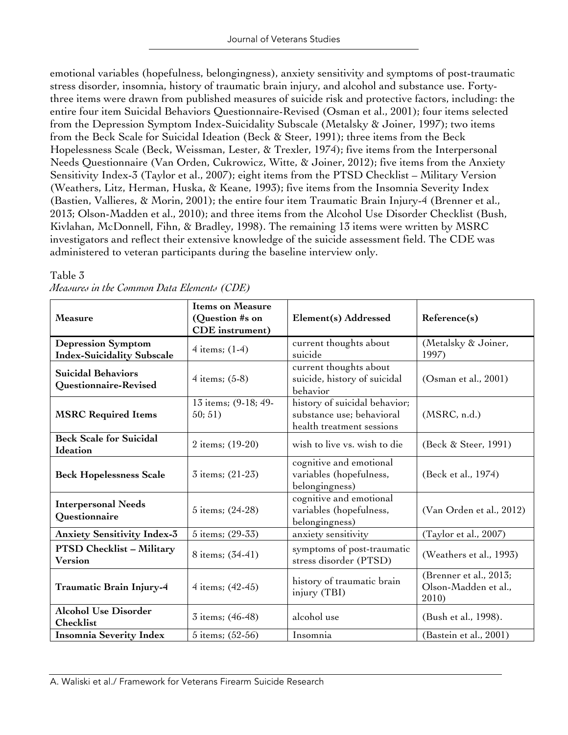emotional variables (hopefulness, belongingness), anxiety sensitivity and symptoms of post-traumatic stress disorder, insomnia, history of traumatic brain injury, and alcohol and substance use. Fortythree items were drawn from published measures of suicide risk and protective factors, including: the entire four item Suicidal Behaviors Questionnaire-Revised (Osman et al., 2001); four items selected from the Depression Symptom Index-Suicidality Subscale (Metalsky & Joiner, 1997); two items from the Beck Scale for Suicidal Ideation (Beck & Steer, 1991); three items from the Beck Hopelessness Scale (Beck, Weissman, Lester, & Trexler, 1974); five items from the Interpersonal Needs Questionnaire (Van Orden, Cukrowicz, Witte, & Joiner, 2012); five items from the Anxiety Sensitivity Index-3 (Taylor et al., 2007); eight items from the PTSD Checklist – Military Version (Weathers, Litz, Herman, Huska, & Keane, 1993); five items from the Insomnia Severity Index (Bastien, Vallieres, & Morin, 2001); the entire four item Traumatic Brain Injury-4 (Brenner et al., 2013; Olson-Madden et al., 2010); and three items from the Alcohol Use Disorder Checklist (Bush, Kivlahan, McDonnell, Fihn, & Bradley, 1998). The remaining 13 items were written by MSRC investigators and reflect their extensive knowledge of the suicide assessment field. The CDE was administered to veteran participants during the baseline interview only.

| <b>Measure</b>                                                                                                              | <b>Items on Measure</b><br>(Question #s on<br><b>CDE</b> instrument) | Element(s) Addressed                                                 | Reference(s)                                            |
|-----------------------------------------------------------------------------------------------------------------------------|----------------------------------------------------------------------|----------------------------------------------------------------------|---------------------------------------------------------|
| <b>Depression Symptom</b><br><b>Index-Suicidality Subscale</b>                                                              | $4$ items; $(1-4)$                                                   | current thoughts about<br>suicide                                    | (Metalsky & Joiner,<br>1997)                            |
| <b>Suicidal Behaviors</b><br>Questionnaire-Revised                                                                          | 4 items; $(5-8)$                                                     | current thoughts about<br>suicide, history of suicidal<br>behavior   | (Osman et al., 2001)                                    |
| history of suicidal behavior;<br>13 items; (9-18; 49-<br>substance use; behavioral<br>50; 51)<br><b>MSRC Required Items</b> |                                                                      | health treatment sessions                                            | (MSRC, n.d.)                                            |
| <b>Beck Scale for Suicidal</b><br>Ideation                                                                                  | 2 items; (19-20)                                                     | wish to live vs. wish to die                                         | (Beck & Steer, 1991)                                    |
| <b>Beck Hopelessness Scale</b>                                                                                              | 3 items; (21-23)                                                     | cognitive and emotional<br>variables (hopefulness,<br>belongingness) | (Beck et al., 1974)                                     |
| <b>Interpersonal Needs</b><br>Questionnaire                                                                                 | 5 items; (24-28)                                                     | cognitive and emotional<br>variables (hopefulness,<br>belongingness) | (Van Orden et al., 2012)                                |
| <b>Anxiety Sensitivity Index-3</b>                                                                                          | 5 items; (29-33)                                                     | anxiety sensitivity                                                  | (Taylor et al., 2007)                                   |
| <b>PTSD Checklist - Military</b><br><b>Version</b>                                                                          | 8 items; (34-41)                                                     | symptoms of post-traumatic<br>stress disorder (PTSD)                 | (Weathers et al., 1993)                                 |
| Traumatic Brain Injury-4                                                                                                    | 4 items; (42-45)                                                     | history of traumatic brain<br>injury (TBI)                           | (Brenner et al., 2013;<br>Olson-Madden et al.,<br>2010) |
| <b>Alcohol Use Disorder</b><br>Checklist                                                                                    | 3 items; (46-48)                                                     | alcohol use                                                          | (Bush et al., 1998).                                    |
| <b>Insomnia Severity Index</b>                                                                                              | 5 items; (52-56)                                                     | Insomnia                                                             | (Bastein et al., 2001)                                  |

### Table 3

|  |  | Measures in the Common Data Elements (CDE) |  |
|--|--|--------------------------------------------|--|
|  |  |                                            |  |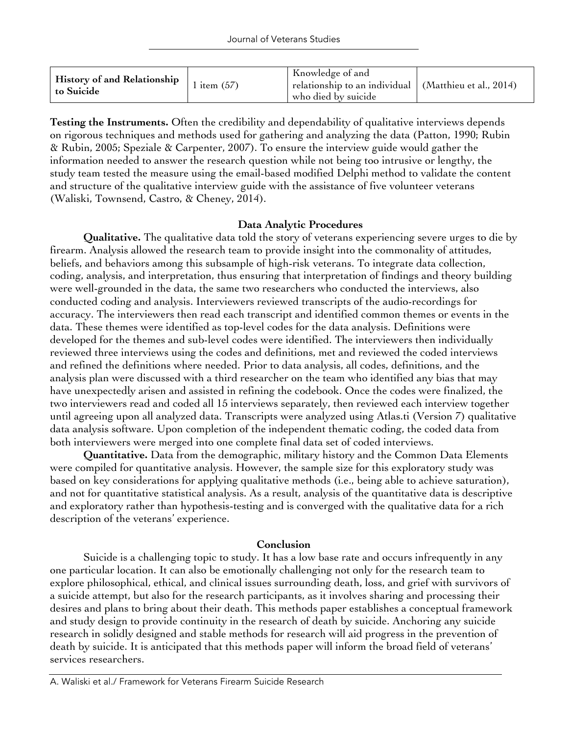| r fistory of and Relationship $\vert$ 1 item (57)<br>to Suicide |  | Knowledge of and<br>$\perp$ relationship to an individual $\mid$ (Matthieu et al., 2014)<br>who died by suicide |  |
|-----------------------------------------------------------------|--|-----------------------------------------------------------------------------------------------------------------|--|
|-----------------------------------------------------------------|--|-----------------------------------------------------------------------------------------------------------------|--|

**Testing the Instruments.** Often the credibility and dependability of qualitative interviews depends on rigorous techniques and methods used for gathering and analyzing the data (Patton, 1990; Rubin & Rubin, 2005; Speziale & Carpenter, 2007). To ensure the interview guide would gather the information needed to answer the research question while not being too intrusive or lengthy, the study team tested the measure using the email-based modified Delphi method to validate the content and structure of the qualitative interview guide with the assistance of five volunteer veterans (Waliski, Townsend, Castro, & Cheney, 2014).

# **Data Analytic Procedures**

**Qualitative.** The qualitative data told the story of veterans experiencing severe urges to die by firearm. Analysis allowed the research team to provide insight into the commonality of attitudes, beliefs, and behaviors among this subsample of high-risk veterans. To integrate data collection, coding, analysis, and interpretation, thus ensuring that interpretation of findings and theory building were well-grounded in the data, the same two researchers who conducted the interviews, also conducted coding and analysis. Interviewers reviewed transcripts of the audio-recordings for accuracy. The interviewers then read each transcript and identified common themes or events in the data. These themes were identified as top-level codes for the data analysis. Definitions were developed for the themes and sub-level codes were identified. The interviewers then individually reviewed three interviews using the codes and definitions, met and reviewed the coded interviews and refined the definitions where needed. Prior to data analysis, all codes, definitions, and the analysis plan were discussed with a third researcher on the team who identified any bias that may have unexpectedly arisen and assisted in refining the codebook. Once the codes were finalized, the two interviewers read and coded all 15 interviews separately, then reviewed each interview together until agreeing upon all analyzed data. Transcripts were analyzed using Atlas.ti (Version 7) qualitative data analysis software. Upon completion of the independent thematic coding, the coded data from both interviewers were merged into one complete final data set of coded interviews.

**Quantitative.** Data from the demographic, military history and the Common Data Elements were compiled for quantitative analysis. However, the sample size for this exploratory study was based on key considerations for applying qualitative methods (i.e., being able to achieve saturation), and not for quantitative statistical analysis. As a result, analysis of the quantitative data is descriptive and exploratory rather than hypothesis-testing and is converged with the qualitative data for a rich description of the veterans' experience.

#### **Conclusion**

Suicide is a challenging topic to study. It has a low base rate and occurs infrequently in any one particular location. It can also be emotionally challenging not only for the research team to explore philosophical, ethical, and clinical issues surrounding death, loss, and grief with survivors of a suicide attempt, but also for the research participants, as it involves sharing and processing their desires and plans to bring about their death. This methods paper establishes a conceptual framework and study design to provide continuity in the research of death by suicide. Anchoring any suicide research in solidly designed and stable methods for research will aid progress in the prevention of death by suicide. It is anticipated that this methods paper will inform the broad field of veterans' services researchers.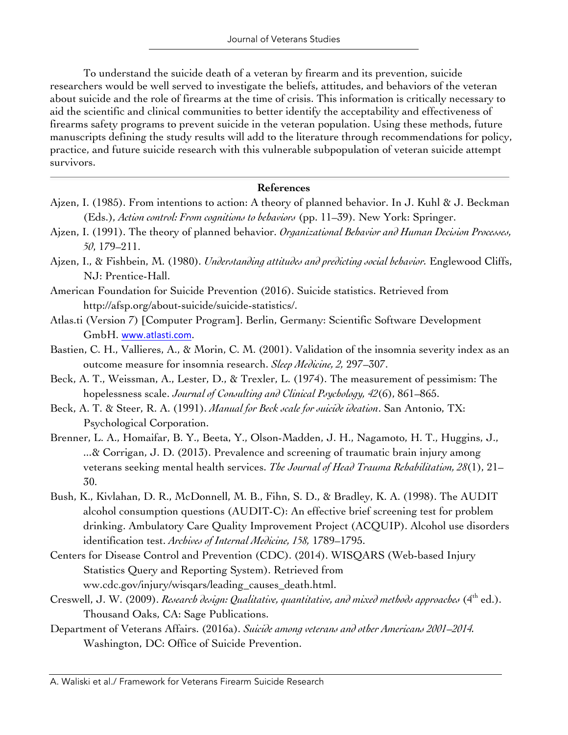To understand the suicide death of a veteran by firearm and its prevention, suicide researchers would be well served to investigate the beliefs, attitudes, and behaviors of the veteran about suicide and the role of firearms at the time of crisis. This information is critically necessary to aid the scientific and clinical communities to better identify the acceptability and effectiveness of firearms safety programs to prevent suicide in the veteran population. Using these methods, future manuscripts defining the study results will add to the literature through recommendations for policy, practice, and future suicide research with this vulnerable subpopulation of veteran suicide attempt survivors.

#### **References**

- Ajzen, I. (1985). From intentions to action: A theory of planned behavior. In J. Kuhl & J. Beckman (Eds.), *Action control: From cognitions to behaviors* (pp. 11–39). New York: Springer.
- Ajzen, I. (1991). The theory of planned behavior. *Organizational Behavior and Human Decision Processes, 50*, 179–211.
- Ajzen, I., & Fishbein, M. (1980). *Understanding attitudes and predicting social behavior.* Englewood Cliffs, NJ: Prentice-Hall.
- American Foundation for Suicide Prevention (2016). Suicide statistics. Retrieved from http://afsp.org/about-suicide/suicide-statistics/.
- Atlas.ti (Version 7) [Computer Program]. Berlin, Germany: Scientific Software Development GmbH. www.atlasti.com.
- Bastien, C. H., Vallieres, A., & Morin, C. M. (2001). Validation of the insomnia severity index as an outcome measure for insomnia research. *Sleep Medicine, 2,* 297–307.
- Beck, A. T., Weissman, A., Lester, D., & Trexler, L. (1974). The measurement of pessimism: The hopelessness scale. *Journal of Consulting and Clinical Psychology, 42*(6), 861–865.
- Beck, A. T. & Steer, R. A. (1991). *Manual for Beck scale for suicide ideation*. San Antonio, TX: Psychological Corporation.
- Brenner, L. A., Homaifar, B. Y., Beeta, Y., Olson-Madden, J. H., Nagamoto, H. T., Huggins, J., ...& Corrigan, J. D. (2013). Prevalence and screening of traumatic brain injury among veterans seeking mental health services. *The Journal of Head Trauma Rehabilitation, 28*(1), 21– 30.
- Bush, K., Kivlahan, D. R., McDonnell, M. B., Fihn, S. D., & Bradley, K. A. (1998). The AUDIT alcohol consumption questions (AUDIT-C): An effective brief screening test for problem drinking. Ambulatory Care Quality Improvement Project (ACQUIP). Alcohol use disorders identification test. *Archives of Internal Medicine, 158,* 1789–1795.
- Centers for Disease Control and Prevention (CDC). (2014). WISQARS (Web-based Injury Statistics Query and Reporting System). Retrieved from ww.cdc.gov/injury/wisqars/leading\_causes\_death.html.
- Creswell, J. W. (2009). *Research design: Qualitative, quantitative, and mixed methods approaches* (4th ed.). Thousand Oaks, CA: Sage Publications.
- Department of Veterans Affairs. (2016a). *Suicide among veterans and other Americans 2001–2014.* Washington, DC: Office of Suicide Prevention.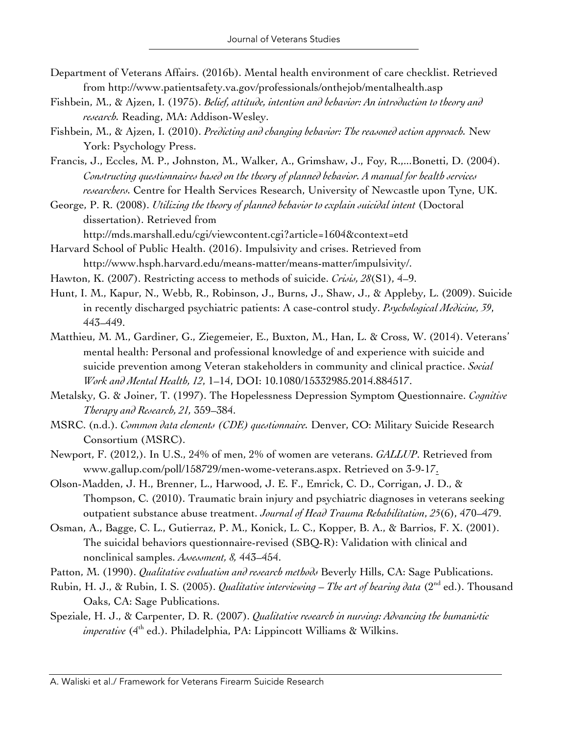- Department of Veterans Affairs. (2016b). Mental health environment of care checklist. Retrieved from http://www.patientsafety.va.gov/professionals/onthejob/mentalhealth.asp
- Fishbein, M., & Ajzen, I. (1975). *Belief, attitude, intention and behavior: An introduction to theory and research.* Reading, MA: Addison-Wesley.
- Fishbein, M., & Ajzen, I. (2010). *Predicting and changing behavior: The reasoned action approach.* New York: Psychology Press.
- Francis, J., Eccles, M. P., Johnston, M., Walker, A., Grimshaw, J., Foy, R.,...Bonetti, D. (2004). *Constructing questionnaires based on the theory of planned behavior. A manual for health services researchers.* Centre for Health Services Research, University of Newcastle upon Tyne, UK.

George, P. R. (2008). *Utilizing the theory of planned behavior to explain suicidal intent* (Doctoral dissertation). Retrieved from http://mds.marshall.edu/cgi/viewcontent.cgi?article=1604&context=etd

- Harvard School of Public Health. (2016). Impulsivity and crises. Retrieved from http://www.hsph.harvard.edu/means-matter/means-matter/impulsivity/.
- Hawton, K. (2007). Restricting access to methods of suicide. *Crisis, 28*(S1), 4–9.
- Hunt, I. M., Kapur, N., Webb, R., Robinson, J., Burns, J., Shaw, J., & Appleby, L. (2009). Suicide in recently discharged psychiatric patients: A case-control study. *Psychological Medicine, 39*, 443–449.
- Matthieu, M. M., Gardiner, G., Ziegemeier, E., Buxton, M., Han, L. & Cross, W. (2014). Veterans' mental health: Personal and professional knowledge of and experience with suicide and suicide prevention among Veteran stakeholders in community and clinical practice. *Social Work and Mental Health, 12*, 1–14, DOI: 10.1080/15332985.2014.884517.
- Metalsky, G. & Joiner, T. (1997). The Hopelessness Depression Symptom Questionnaire. *Cognitive Therapy and Research, 21,* 359–384.
- MSRC. (n.d.). *Common data elements (CDE) questionnaire.* Denver, CO: Military Suicide Research Consortium (MSRC).
- Newport, F. (2012,). In U.S., 24% of men, 2% of women are veterans. *GALLUP*. Retrieved from www.gallup.com/poll/158729/men-wome-veterans.aspx. Retrieved on 3-9-17.
- Olson-Madden, J. H., Brenner, L., Harwood, J. E. F., Emrick, C. D., Corrigan, J. D., & Thompson, C. (2010). Traumatic brain injury and psychiatric diagnoses in veterans seeking outpatient substance abuse treatment. *Journal of Head Trauma Rehabilitation*, *25*(6), 470–479.
- Osman, A., Bagge, C. L., Gutierraz, P. M., Konick, L. C., Kopper, B. A., & Barrios, F. X. (2001). The suicidal behaviors questionnaire-revised (SBQ-R): Validation with clinical and nonclinical samples. *Assessment, 8,* 443–454.
- Patton, M. (1990). *Qualitative evaluation and research methods* Beverly Hills, CA: Sage Publications.
- Rubin, H. J., & Rubin, I. S. (2005). *Qualitative interviewing – The art of hearing data* (2nd ed.). Thousand Oaks, CA: Sage Publications.
- Speziale, H. J., & Carpenter, D. R. (2007). *Qualitative research in nursing: Advancing the humanistic imperative* (4<sup>th</sup> ed.). Philadelphia, PA: Lippincott Williams & Wilkins.